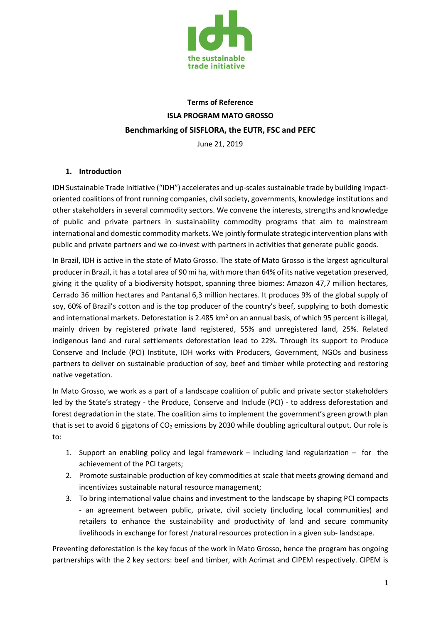

# **Terms of Reference ISLA PROGRAM MATO GROSSO Benchmarking of SISFLORA, the EUTR, FSC and PEFC**

June 21, 2019

# **1. Introduction**

IDH Sustainable Trade Initiative ("IDH") accelerates and up-scales sustainable trade by building impactoriented coalitions of front running companies, civil society, governments, knowledge institutions and other stakeholders in several commodity sectors. We convene the interests, strengths and knowledge of public and private partners in sustainability commodity programs that aim to mainstream international and domestic commodity markets. We jointly formulate strategic intervention plans with public and private partners and we co-invest with partners in activities that generate public goods.

In Brazil, IDH is active in the state of Mato Grosso. The state of Mato Grosso is the largest agricultural producer in Brazil, it has a total area of 90 mi ha, with more than 64% of its native vegetation preserved, giving it the quality of a biodiversity hotspot, spanning three biomes: Amazon 47,7 million hectares, Cerrado 36 million hectares and Pantanal 6,3 million hectares. It produces 9% of the global supply of soy, 60% of Brazil's cotton and is the top producer of the country's beef, supplying to both domestic and international markets. Deforestation is 2.485 km<sup>2</sup> on an annual basis, of which 95 percent is illegal, mainly driven by registered private land registered, 55% and unregistered land, 25%. Related indigenous land and rural settlements deforestation lead to 22%. Through its support to Produce Conserve and Include (PCI) Institute, IDH works with Producers, Government, NGOs and business partners to deliver on sustainable production of soy, beef and timber while protecting and restoring native vegetation.

In Mato Grosso, we work as a part of a landscape coalition of public and private sector stakeholders led by the State's strategy - the Produce, Conserve and Include (PCI) - to address deforestation and forest degradation in the state. The coalition aims to implement the government's green growth plan that is set to avoid 6 gigatons of  $CO<sub>2</sub>$  emissions by 2030 while doubling agricultural output. Our role is to:

- 1. Support an enabling policy and legal framework including land regularization for the achievement of the PCI targets;
- 2. Promote sustainable production of key commodities at scale that meets growing demand and incentivizes sustainable natural resource management;
- 3. To bring international value chains and investment to the landscape by shaping PCI compacts - an agreement between public, private, civil society (including local communities) and retailers to enhance the sustainability and productivity of land and secure community livelihoods in exchange for forest /natural resources protection in a given sub- landscape.

Preventing deforestation is the key focus of the work in Mato Grosso, hence the program has ongoing partnerships with the 2 key sectors: beef and timber, with Acrimat and CIPEM respectively. CIPEM is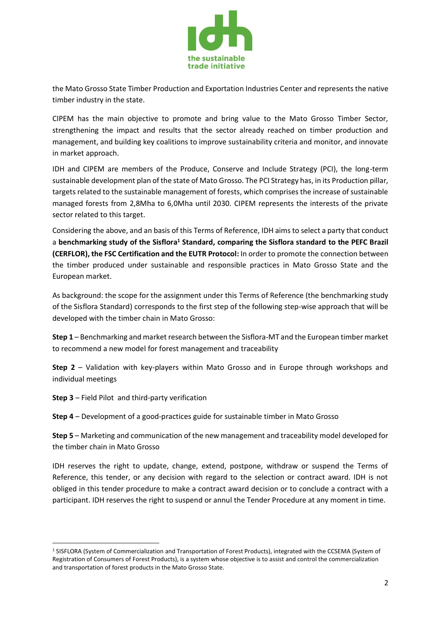

the Mato Grosso State Timber Production and Exportation Industries Center and represents the native timber industry in the state.

CIPEM has the main objective to promote and bring value to the Mato Grosso Timber Sector, strengthening the impact and results that the sector already reached on timber production and management, and building key coalitions to improve sustainability criteria and monitor, and innovate in market approach.

IDH and CIPEM are members of the Produce, Conserve and Include Strategy (PCI), the long-term sustainable development plan of the state of Mato Grosso. The PCI Strategy has, in its Production pillar, targets related to the sustainable management of forests, which comprises the increase of sustainable managed forests from 2,8Mha to 6,0Mha until 2030. CIPEM represents the interests of the private sector related to this target.

Considering the above, and an basis of this Terms of Reference, IDH aims to select a party that conduct a **benchmarking study of the Sisflora<sup>1</sup> Standard, comparing the Sisflora standard to the PEFC Brazil (CERFLOR), the FSC Certification and the EUTR Protocol:** In order to promote the connection between the timber produced under sustainable and responsible practices in Mato Grosso State and the European market.

As background: the scope for the assignment under this Terms of Reference (the benchmarking study of the Sisflora Standard) corresponds to the first step of the following step-wise approach that will be developed with the timber chain in Mato Grosso:

**Step 1** – Benchmarking and market research between the Sisflora-MT and the European timber market to recommend a new model for forest management and traceability

**Step 2** – Validation with key-players within Mato Grosso and in Europe through workshops and individual meetings

**Step 3** – Field Pilot and third-party verification

l

**Step 4** – Development of a good-practices guide for sustainable timber in Mato Grosso

**Step 5** – Marketing and communication of the new management and traceability model developed for the timber chain in Mato Grosso

IDH reserves the right to update, change, extend, postpone, withdraw or suspend the Terms of Reference, this tender, or any decision with regard to the selection or contract award. IDH is not obliged in this tender procedure to make a contract award decision or to conclude a contract with a participant. IDH reserves the right to suspend or annul the Tender Procedure at any moment in time.

<sup>1</sup> SISFLORA (System of Commercialization and Transportation of Forest Products), integrated with the CCSEMA (System of Registration of Consumers of Forest Products), is a system whose objective is to assist and control the commercialization and transportation of forest products in the Mato Grosso State.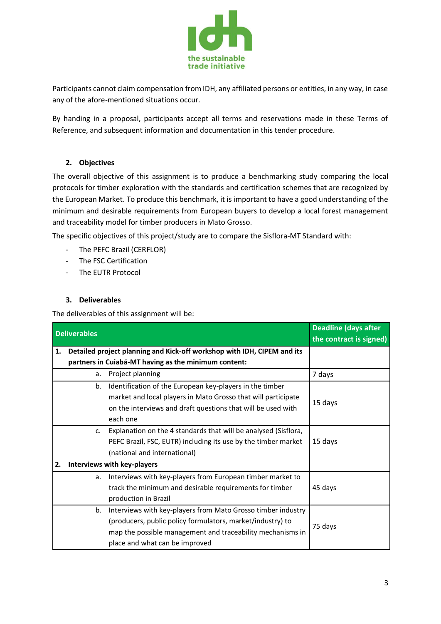

Participants cannot claim compensation from IDH, any affiliated persons or entities, in any way, in case any of the afore-mentioned situations occur.

By handing in a proposal, participants accept all terms and reservations made in these Terms of Reference, and subsequent information and documentation in this tender procedure.

# **2. Objectives**

The overall objective of this assignment is to produce a benchmarking study comparing the local protocols for timber exploration with the standards and certification schemes that are recognized by the European Market. To produce this benchmark, it is important to have a good understanding of the minimum and desirable requirements from European buyers to develop a local forest management and traceability model for timber producers in Mato Grosso.

The specific objectives of this project/study are to compare the Sisflora-MT Standard with:

- The PEFC Brazil (CERFLOR)
- The FSC Certification
- The EUTR Protocol

#### **3. Deliverables**

The deliverables of this assignment will be:

| <b>Deliverables</b> |                             |                                                                         | <b>Deadline (days after</b> |
|---------------------|-----------------------------|-------------------------------------------------------------------------|-----------------------------|
|                     |                             |                                                                         | the contract is signed)     |
| 1.                  |                             | Detailed project planning and Kick-off workshop with IDH, CIPEM and its |                             |
|                     |                             | partners in Cuiabá-MT having as the minimum content:                    |                             |
|                     | a.                          | Project planning                                                        | 7 days                      |
|                     | b.                          | Identification of the European key-players in the timber                |                             |
|                     |                             | market and local players in Mato Grosso that will participate           | 15 days                     |
|                     |                             | on the interviews and draft questions that will be used with            |                             |
|                     |                             | each one                                                                |                             |
|                     | $\mathsf{C}$ .              | Explanation on the 4 standards that will be analysed (Sisflora,         |                             |
|                     |                             | PEFC Brazil, FSC, EUTR) including its use by the timber market          | 15 days                     |
|                     |                             | (national and international)                                            |                             |
| 2.                  | Interviews with key-players |                                                                         |                             |
|                     | a.                          | Interviews with key-players from European timber market to              |                             |
|                     |                             | track the minimum and desirable requirements for timber                 | 45 days                     |
|                     |                             | production in Brazil                                                    |                             |
|                     | b.                          | Interviews with key-players from Mato Grosso timber industry            |                             |
|                     |                             | (producers, public policy formulators, market/industry) to              | 75 days                     |
|                     |                             | map the possible management and traceability mechanisms in              |                             |
|                     |                             | place and what can be improved                                          |                             |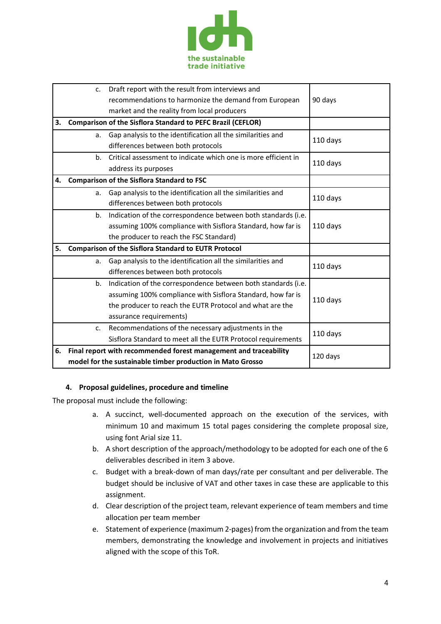

|    | $C_{\star}$                                                 | Draft report with the result from interviews and                             |          |  |
|----|-------------------------------------------------------------|------------------------------------------------------------------------------|----------|--|
|    |                                                             | recommendations to harmonize the demand from European                        | 90 days  |  |
|    |                                                             | market and the reality from local producers                                  |          |  |
| 3. |                                                             | <b>Comparison of the Sisflora Standard to PEFC Brazil (CEFLOR)</b>           |          |  |
|    | a.                                                          | Gap analysis to the identification all the similarities and                  |          |  |
|    |                                                             | differences between both protocols                                           | 110 days |  |
|    | $h_{-}$                                                     | Critical assessment to indicate which one is more efficient in               | 110 days |  |
|    |                                                             | address its purposes                                                         |          |  |
| 4. | <b>Comparison of the Sisflora Standard to FSC</b>           |                                                                              |          |  |
|    | a.                                                          | Gap analysis to the identification all the similarities and                  | 110 days |  |
|    |                                                             | differences between both protocols                                           |          |  |
|    | b.                                                          | Indication of the correspondence between both standards (i.e.                |          |  |
|    |                                                             | assuming 100% compliance with Sisflora Standard, how far is                  | 110 days |  |
|    |                                                             | the producer to reach the FSC Standard)                                      |          |  |
| 5. | <b>Comparison of the Sisflora Standard to EUTR Protocol</b> |                                                                              |          |  |
|    | a.                                                          | Gap analysis to the identification all the similarities and                  | 110 days |  |
|    |                                                             | differences between both protocols                                           |          |  |
|    | b.                                                          | Indication of the correspondence between both standards (i.e.                |          |  |
|    |                                                             | assuming 100% compliance with Sisflora Standard, how far is                  | 110 days |  |
|    |                                                             | the producer to reach the EUTR Protocol and what are the                     |          |  |
|    |                                                             | assurance requirements)                                                      |          |  |
|    | c.                                                          | Recommendations of the necessary adjustments in the                          | 110 days |  |
|    |                                                             | Sisflora Standard to meet all the EUTR Protocol requirements                 |          |  |
| 6. |                                                             | Final report with recommended forest management and traceability<br>120 days |          |  |
|    | model for the sustainable timber production in Mato Grosso  |                                                                              |          |  |

# **4. Proposal guidelines, procedure and timeline**

The proposal must include the following:

- a. A succinct, well-documented approach on the execution of the services, with minimum 10 and maximum 15 total pages considering the complete proposal size, using font Arial size 11.
- b. A short description of the approach/methodology to be adopted for each one of the 6 deliverables described in item 3 above.
- c. Budget with a break-down of man days/rate per consultant and per deliverable. The budget should be inclusive of VAT and other taxes in case these are applicable to this assignment.
- d. Clear description of the project team, relevant experience of team members and time allocation per team member
- e. Statement of experience (maximum 2-pages) from the organization and from the team members, demonstrating the knowledge and involvement in projects and initiatives aligned with the scope of this ToR.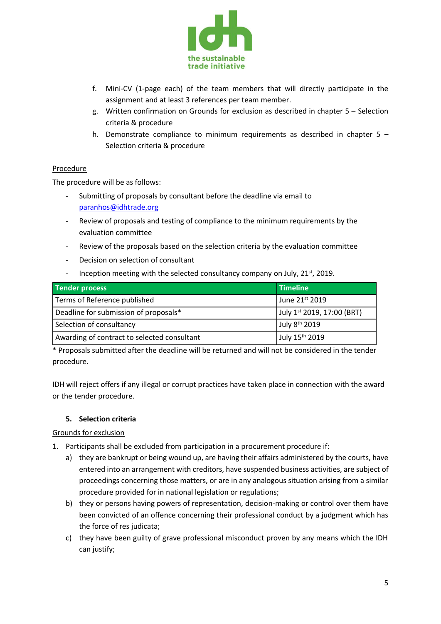

- f. Mini-CV (1-page each) of the team members that will directly participate in the assignment and at least 3 references per team member.
- g. Written confirmation on Grounds for exclusion as described in chapter 5 Selection criteria & procedure
- h. Demonstrate compliance to minimum requirements as described in chapter  $5 -$ Selection criteria & procedure

#### **Procedure**

The procedure will be as follows:

- Submitting of proposals by consultant before the deadline via email to [paranhos@idhtrade.org](mailto:paranhos@idhtrade.org)
- Review of proposals and testing of compliance to the minimum requirements by the evaluation committee
- Review of the proposals based on the selection criteria by the evaluation committee
- Decision on selection of consultant
- Inception meeting with the selected consultancy company on July, 21<sup>st</sup>, 2019.

| Tender process                              | Timeline                   |
|---------------------------------------------|----------------------------|
| Terms of Reference published                | June 21st 2019             |
| Deadline for submission of proposals*       | July 1st 2019, 17:00 (BRT) |
| Selection of consultancy                    | July 8 <sup>th</sup> 2019  |
| Awarding of contract to selected consultant | July 15 <sup>th</sup> 2019 |

\* Proposals submitted after the deadline will be returned and will not be considered in the tender procedure.

IDH will reject offers if any illegal or corrupt practices have taken place in connection with the award or the tender procedure.

#### **5. Selection criteria**

# Grounds for exclusion

- 1. Participants shall be excluded from participation in a procurement procedure if:
	- a) they are bankrupt or being wound up, are having their affairs administered by the courts, have entered into an arrangement with creditors, have suspended business activities, are subject of proceedings concerning those matters, or are in any analogous situation arising from a similar procedure provided for in national legislation or regulations;
	- b) they or persons having powers of representation, decision-making or control over them have been convicted of an offence concerning their professional conduct by a judgment which has the force of res judicata;
	- c) they have been guilty of grave professional misconduct proven by any means which the IDH can justify;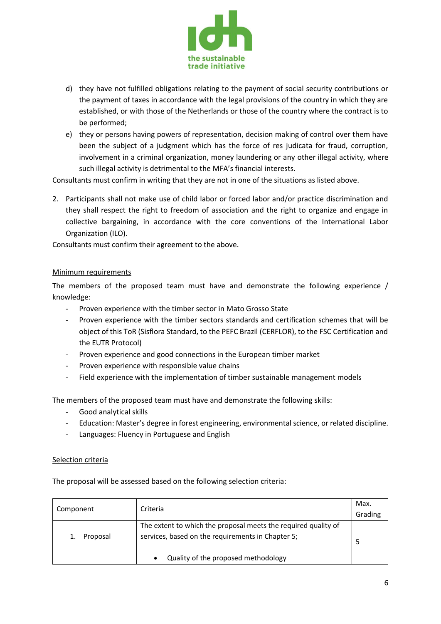

- d) they have not fulfilled obligations relating to the payment of social security contributions or the payment of taxes in accordance with the legal provisions of the country in which they are established, or with those of the Netherlands or those of the country where the contract is to be performed;
- e) they or persons having powers of representation, decision making of control over them have been the subject of a judgment which has the force of res judicata for fraud, corruption, involvement in a criminal organization, money laundering or any other illegal activity, where such illegal activity is detrimental to the MFA's financial interests.

Consultants must confirm in writing that they are not in one of the situations as listed above.

2. Participants shall not make use of child labor or forced labor and/or practice discrimination and they shall respect the right to freedom of association and the right to organize and engage in collective bargaining, in accordance with the core conventions of the International Labor Organization (ILO).

Consultants must confirm their agreement to the above.

#### Minimum requirements

The members of the proposed team must have and demonstrate the following experience / knowledge:

- Proven experience with the timber sector in Mato Grosso State
- Proven experience with the timber sectors standards and certification schemes that will be object of this ToR (Sisflora Standard, to the PEFC Brazil (CERFLOR), to the FSC Certification and the EUTR Protocol)
- Proven experience and good connections in the European timber market
- Proven experience with responsible value chains
- Field experience with the implementation of timber sustainable management models

The members of the proposed team must have and demonstrate the following skills:

- Good analytical skills
- Education: Master's degree in forest engineering, environmental science, or related discipline.
- Languages: Fluency in Portuguese and English

#### Selection criteria

The proposal will be assessed based on the following selection criteria:

| Component | Criteria                                                                                                            | Max.<br>Grading |
|-----------|---------------------------------------------------------------------------------------------------------------------|-----------------|
| Proposal  | The extent to which the proposal meets the required quality of<br>services, based on the requirements in Chapter 5; |                 |
|           | Quality of the proposed methodology                                                                                 |                 |